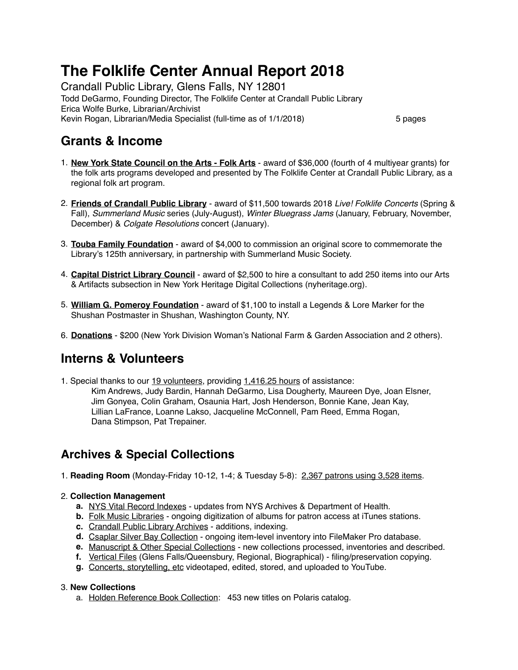# **The Folklife Center Annual Report 2018**

Crandall Public Library, Glens Falls, NY 12801 Todd DeGarmo, Founding Director, The Folklife Center at Crandall Public Library Erica Wolfe Burke, Librarian/Archivist Kevin Rogan, Librarian/Media Specialist (full-time as of 1/1/2018) 5 pages

## **Grants & Income**

- 1. **New York State Council on the Arts Folk Arts** award of \$36,000 (fourth of 4 multiyear grants) for the folk arts programs developed and presented by The Folklife Center at Crandall Public Library, as a regional folk art program.
- 2. **Friends of Crandall Public Library** award of \$11,500 towards 2018 *Live! Folklife Concerts* (Spring & Fall), *Summerland Music* series (July-August), *Winter Bluegrass Jams* (January, February, November, December) & *Colgate Resolutions* concert (January).
- 3. **Touba Family Foundation** award of \$4,000 to commission an original score to commemorate the Library's 125th anniversary, in partnership with Summerland Music Society.
- 4. **Capital District Library Council** award of \$2,500 to hire a consultant to add 250 items into our Arts & Artifacts subsection in New York Heritage Digital Collections [\(nyheritage.org](http://nyheritage.org)).
- 5. **William G. Pomeroy Foundation** award of \$1,100 to install a Legends & Lore Marker for the Shushan Postmaster in Shushan, Washington County, NY.
- 6. **Donations** \$200 (New York Division Woman's National Farm & Garden Association and 2 others).

## **Interns & Volunteers**

1. Special thanks to our 19 volunteers, providing 1,416.25 hours of assistance: Kim Andrews, Judy Bardin, Hannah DeGarmo, Lisa Dougherty, Maureen Dye, Joan Elsner, Jim Gonyea, Colin Graham, Osaunia Hart, Josh Henderson, Bonnie Kane, Jean Kay, Lillian LaFrance, Loanne Lakso, Jacqueline McConnell, Pam Reed, Emma Rogan, Dana Stimpson, Pat Trepainer.

## **Archives & Special Collections**

1. **Reading Room** (Monday-Friday 10-12, 1-4; & Tuesday 5-8): 2,367 patrons using 3,528 items.

#### 2. **Collection Management**

- **a.** NYS Vital Record Indexes updates from NYS Archives & Department of Health.
- **b.** Folk Music Libraries ongoing digitization of albums for patron access at iTunes stations.
- **c.** Crandall Public Library Archives additions, indexing.
- **d.** Csaplar Silver Bay Collection ongoing item-level inventory into FileMaker Pro database.
- **e.** Manuscript & Other Special Collections new collections processed, inventories and described.
- **f.** Vertical Files (Glens Falls/Queensbury, Regional, Biographical) filing/preservation copying.
- **g.** Concerts, storytelling, etc videotaped, edited, stored, and uploaded to YouTube.

#### 3. **New Collections**

a. Holden Reference Book Collection: 453 new titles on Polaris catalog.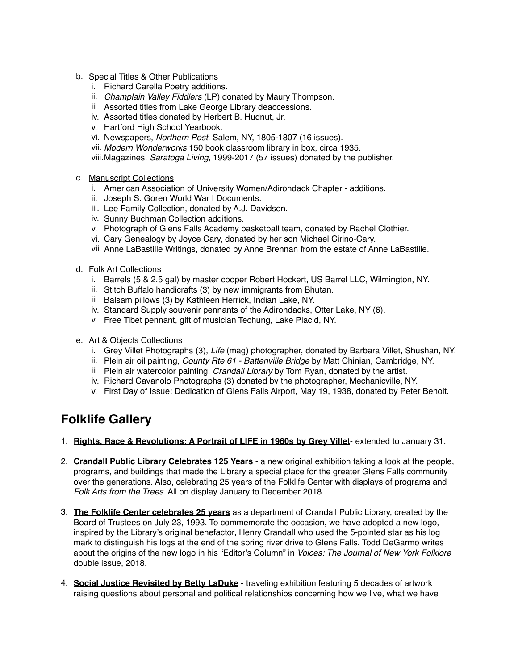- b. Special Titles & Other Publications
	- i. Richard Carella Poetry additions.
	- ii. *Champlain Valley Fiddlers* (LP) donated by Maury Thompson.
	- iii. Assorted titles from Lake George Library deaccessions.
	- iv. Assorted titles donated by Herbert B. Hudnut, Jr.
	- v. Hartford High School Yearbook.
	- vi. Newspapers, *Northern Post*, Salem, NY, 1805-1807 (16 issues).
	- vii. *Modern Wonderworks* 150 book classroom library in box, circa 1935.

viii.Magazines, *Saratoga Living*, 1999-2017 (57 issues) donated by the publisher.

- c. Manuscript Collections
	- i. American Association of University Women/Adirondack Chapter additions.
	- ii. Joseph S. Goren World War I Documents.
	- iii. Lee Family Collection, donated by A.J. Davidson.
	- iv. Sunny Buchman Collection additions.
	- v. Photograph of Glens Falls Academy basketball team, donated by Rachel Clothier.
	- vi. Cary Genealogy by Joyce Cary, donated by her son Michael Cirino-Cary.
	- vii. Anne LaBastille Writings, donated by Anne Brennan from the estate of Anne LaBastille.
- d. Folk Art Collections
	- i. Barrels (5 & 2.5 gal) by master cooper Robert Hockert, US Barrel LLC, Wilmington, NY.
	- ii. Stitch Buffalo handicrafts (3) by new immigrants from Bhutan.
	- iii. Balsam pillows (3) by Kathleen Herrick, Indian Lake, NY.
	- iv. Standard Supply souvenir pennants of the Adirondacks, Otter Lake, NY (6).
	- v. Free Tibet pennant, gift of musician Techung, Lake Placid, NY.
- e. Art & Objects Collections
	- i. Grey Villet Photographs (3), *Life* (mag) photographer, donated by Barbara Villet, Shushan, NY.
	- ii. Plein air oil painting, *County Rte 61 Battenville Bridge* by Matt Chinian, Cambridge, NY.
	- iii. Plein air watercolor painting, *Crandall Library* by Tom Ryan, donated by the artist.
	- iv. Richard Cavanolo Photographs (3) donated by the photographer, Mechanicville, NY.
	- v. First Day of Issue: Dedication of Glens Falls Airport, May 19, 1938, donated by Peter Benoit.

## **Folklife Gallery**

- 1. **Rights, Race & Revolutions: A Portrait of LIFE in 1960s by Grey Villet** extended to January 31.
- 2. **Crandall Public Library Celebrates 125 Years**  a new original exhibition taking a look at the people, programs, and buildings that made the Library a special place for the greater Glens Falls community over the generations. Also, celebrating 25 years of the Folklife Center with displays of programs and *Folk Arts from the Trees*. All on display January to December 2018.
- 3. **The Folklife Center celebrates 25 years** as a department of Crandall Public Library, created by the Board of Trustees on July 23, 1993. To commemorate the occasion, we have adopted a new logo, inspired by the Library's original benefactor, Henry Crandall who used the 5-pointed star as his log mark to distinguish his logs at the end of the spring river drive to Glens Falls. Todd DeGarmo writes about the origins of the new logo in his "Editor's Column" in *Voices: The Journal of New York Folklore* double issue, 2018.
- 4. **Social Justice Revisited by Betty LaDuke** traveling exhibition featuring 5 decades of artwork raising questions about personal and political relationships concerning how we live, what we have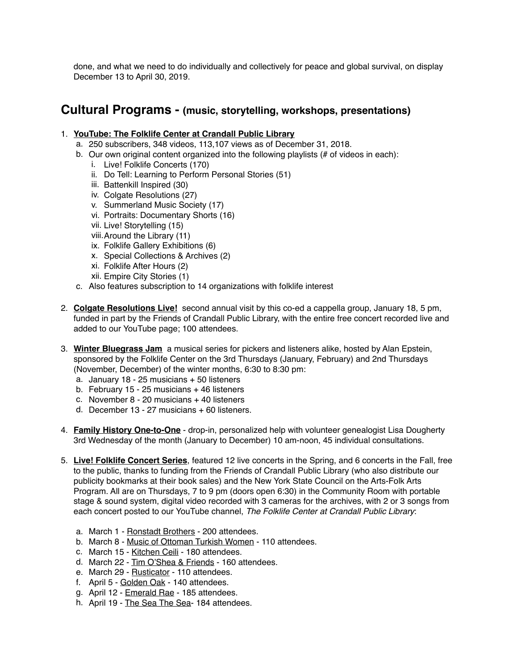done, and what we need to do individually and collectively for peace and global survival, on display December 13 to April 30, 2019.

#### **Cultural Programs - (music, storytelling, workshops, presentations)**

#### 1. **YouTube: The Folklife Center at Crandall Public Library**

- a. 250 subscribers, 348 videos, 113,107 views as of December 31, 2018.
- b. Our own original content organized into the following playlists (# of videos in each):
	- i. Live! Folklife Concerts (170)
	- ii. Do Tell: Learning to Perform Personal Stories (51)
	- iii. Battenkill Inspired (30)
	- iv. Colgate Resolutions (27)
	- v. Summerland Music Society (17)
	- vi. Portraits: Documentary Shorts (16)
	- vii. Live! Storytelling (15)
	- viii.Around the Library (11)
	- ix. Folklife Gallery Exhibitions (6)
	- x. Special Collections & Archives (2)
	- xi. Folklife After Hours (2)
	- xii. Empire City Stories (1)
- c. Also features subscription to 14 organizations with folklife interest
- 2. **Colgate Resolutions Live!** second annual visit by this co-ed a cappella group, January 18, 5 pm, funded in part by the Friends of Crandall Public Library, with the entire free concert recorded live and added to our YouTube page; 100 attendees.
- 3. **Winter Bluegrass Jam** a musical series for pickers and listeners alike, hosted by Alan Epstein, sponsored by the Folklife Center on the 3rd Thursdays (January, February) and 2nd Thursdays (November, December) of the winter months, 6:30 to 8:30 pm:
	- a. January 18 25 musicians + 50 listeners
	- b. February 15 25 musicians + 46 listeners
	- c. November 8 20 musicians + 40 listeners
	- d. December 13 27 musicians + 60 listeners.
- 4. **Family History One-to-One** drop-in, personalized help with volunteer genealogist Lisa Dougherty 3rd Wednesday of the month (January to December) 10 am-noon, 45 individual consultations.
- 5. **Live! Folklife Concert Series**, featured 12 live concerts in the Spring, and 6 concerts in the Fall, free to the public, thanks to funding from the Friends of Crandall Public Library (who also distribute our publicity bookmarks at their book sales) and the New York State Council on the Arts-Folk Arts Program. All are on Thursdays, 7 to 9 pm (doors open 6:30) in the Community Room with portable stage & sound system, digital video recorded with 3 cameras for the archives, with 2 or 3 songs from each concert posted to our YouTube channel, *The Folklife Center at Crandall Public Library*:
	- a. March 1 Ronstadt Brothers 200 attendees.
	- b. March 8 Music of Ottoman Turkish Women 110 attendees.
	- c. March 15 Kitchen Ceili 180 attendees.
	- d. March 22 Tim O'Shea & Friends 160 attendees.
	- e. March 29 Rusticator 110 attendees.
	- f. April 5 Golden Oak 140 attendees.
	- g. April 12 Emerald Rae 185 attendees.
	- h. April 19 The Sea The Sea- 184 attendees.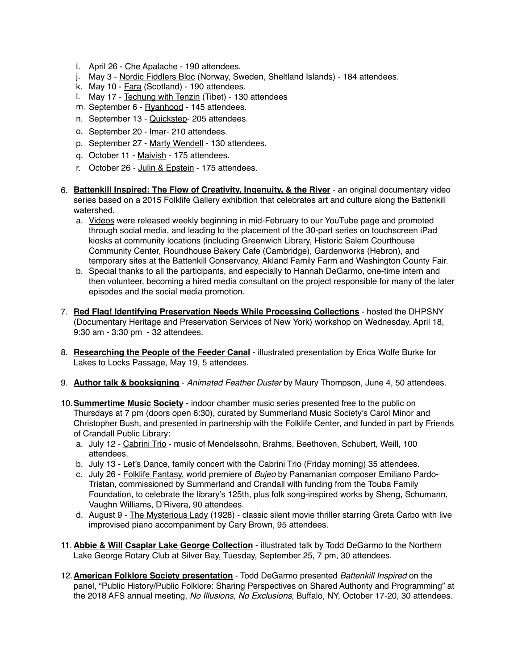- i. April 26 Che Apalache 190 attendees.
- j. May 3 Nordic Fiddlers Bloc (Norway, Sweden, Sheltland Islands) 184 attendees.
- k. May 10 Fara (Scotland) 190 attendees.
- l. May 17 Techung with Tenzin (Tibet) 130 attendees
- m. September 6 Ryanhood 145 attendees.
- n. September 13 Quickstep- 205 attendees.
- o. September 20 Imar- 210 attendees.
- p. September 27 Marty Wendell 130 attendees.
- q. October 11 Maivish 175 attendees.
- r. October 26 Julin & Epstein 175 attendees.
- 6. **Battenkill Inspired: The Flow of Creativity, Ingenuity, & the River** an original documentary video series based on a 2015 Folklife Gallery exhibition that celebrates art and culture along the Battenkill watershed.
	- a. Videos were released weekly beginning in mid-February to our YouTube page and promoted through social media, and leading to the placement of the 30-part series on touchscreen iPad kiosks at community locations (including Greenwich Library, Historic Salem Courthouse Community Center, Roundhouse Bakery Cafe (Cambridge), Gardenworks (Hebron), and temporary sites at the Battenkill Conservancy, Akland Family Farm and Washington County Fair.
	- b. Special thanks to all the participants, and especially to Hannah DeGarmo, one-time intern and then volunteer, becoming a hired media consultant on the project responsible for many of the later episodes and the social media promotion.
- 7. **Red Flag! Identifying Preservation Needs While Processing Collections** hosted the DHPSNY (Documentary Heritage and Preservation Services of New York) workshop on Wednesday, April 18, 9:30 am - 3:30 pm - 32 attendees.
- 8. **Researching the People of the Feeder Canal** illustrated presentation by Erica Wolfe Burke for Lakes to Locks Passage, May 19, 5 attendees.
- 9. **Author talk & booksigning** *Animated Feather Duster* by Maury Thompson, June 4, 50 attendees.
- 10.**Summertime Music Society** indoor chamber music series presented free to the public on Thursdays at 7 pm (doors open 6:30), curated by Summerland Music Society's Carol Minor and Christopher Bush, and presented in partnership with the Folklife Center, and funded in part by Friends of Crandall Public Library:
	- a. July 12 Cabrini Trio music of Mendelssohn, Brahms, Beethoven, Schubert, Weill, 100 attendees.
	- b. July 13 Let's Dance, family concert with the Cabrini Trio (Friday morning) 35 attendees.
	- c. July 26 Folklife Fantasy, world premiere of *Bujeo* by Panamanian composer Emiliano Pardo-Tristan, commissioned by Summerland and Crandall with funding from the Touba Family Foundation, to celebrate the library's 125th, plus folk song-inspired works by Sheng, Schumann, Vaughn Williams, D'Rivera, 90 attendees.
	- d. August 9 The Mysterious Lady (1928) classic silent movie thriller starring Greta Carbo with live improvised piano accompaniment by Cary Brown, 95 attendees.
- 11. **Abbie & Will Csaplar Lake George Collection** illustrated talk by Todd DeGarmo to the Northern Lake George Rotary Club at Silver Bay, Tuesday, September 25, 7 pm, 30 attendees.
- 12.**American Folklore Society presentation** Todd DeGarmo presented *Battenkill Inspired* on the panel, "Public History/Public Folklore: Sharing Perspectives on Shared Authority and Programming" at the 2018 AFS annual meeting, *No Illusions, No Exclusions*, Buffalo, NY, October 17-20, 30 attendees.